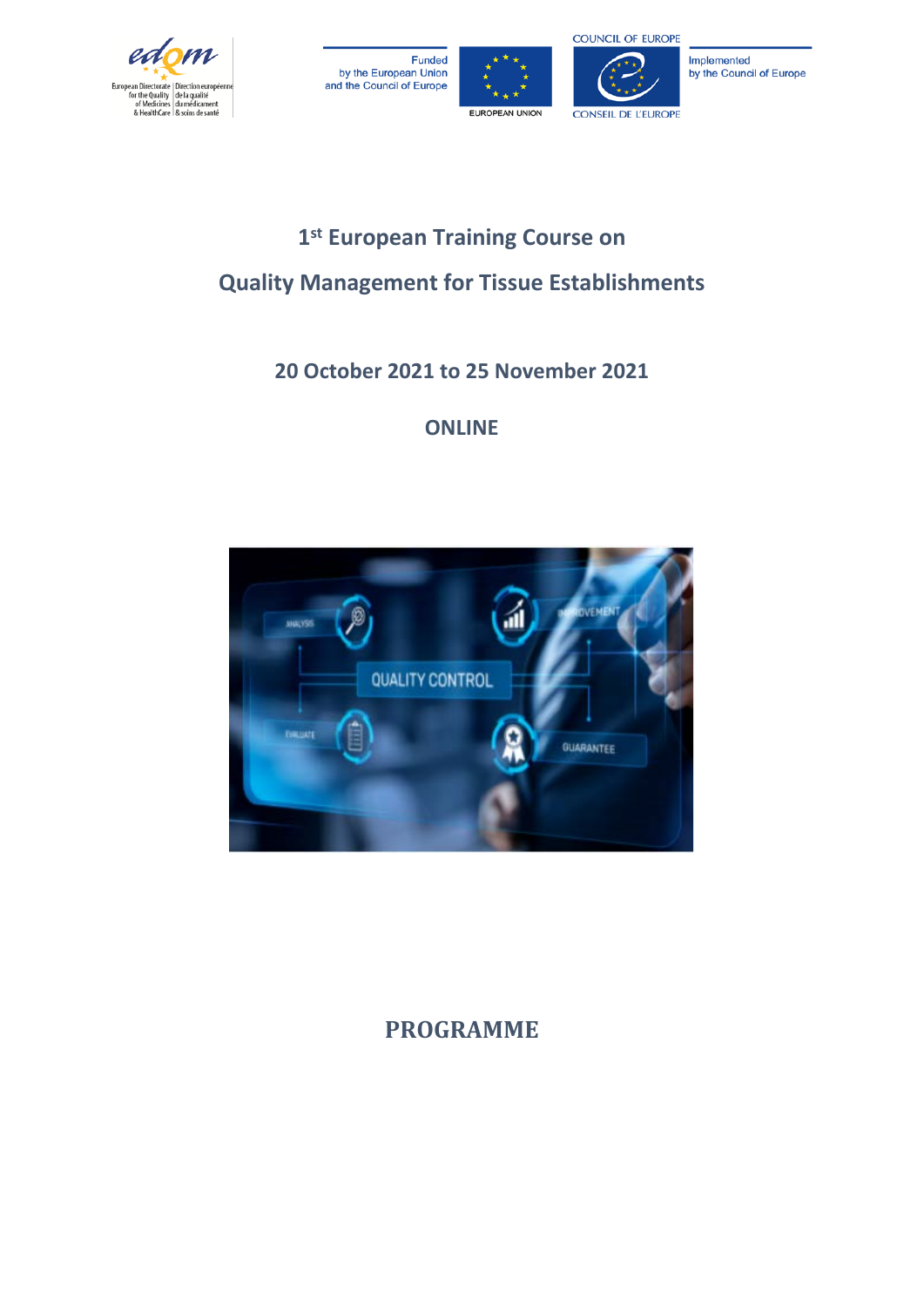







## **1st European Training Course on Quality Management for Tissue Establishments**

### **20 October 2021 to 25 November 2021**

### **ONLINE**



### **PROGRAMME**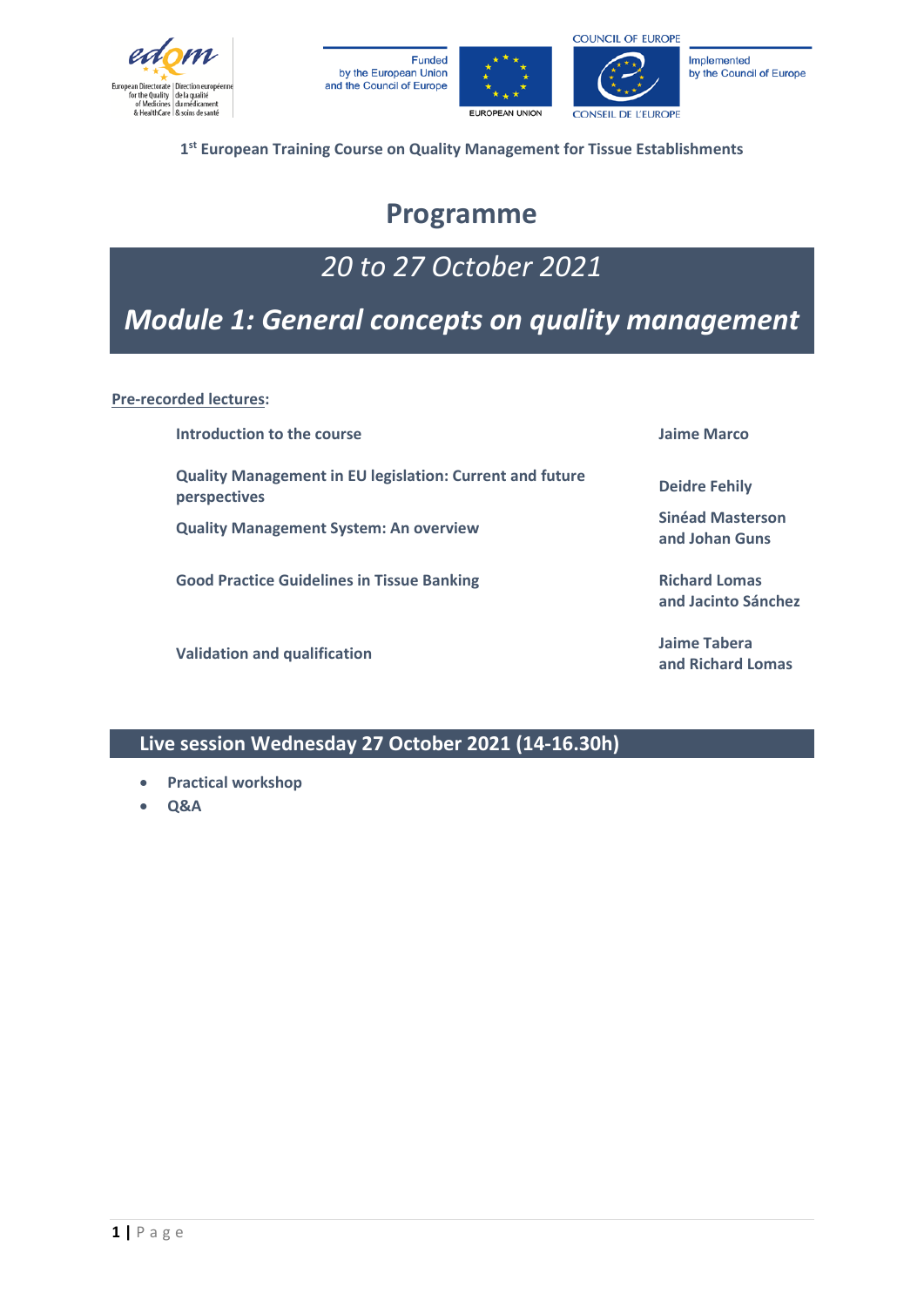







by the Council of Europe

**1st European Training Course on Quality Management for Tissue Establishments**

### **Programme**

### *20 to 27 October 2021*

### *Module 1: General concepts on quality management*

**Pre-recorded lectures:**

| Introduction to the course                                                             | Jaime Marco                                 |
|----------------------------------------------------------------------------------------|---------------------------------------------|
| <b>Quality Management in EU legislation: Current and future</b><br><b>perspectives</b> | <b>Deidre Fehily</b>                        |
| <b>Quality Management System: An overview</b>                                          | <b>Sinéad Masterson</b><br>and Johan Guns   |
| <b>Good Practice Guidelines in Tissue Banking</b>                                      | <b>Richard Lomas</b><br>and Jacinto Sánchez |
| <b>Validation and qualification</b>                                                    | Jaime Tabera<br>and Richard Lomas           |

**Live session Wednesday 27 October 2021 (14-16.30h)**

- **Practical workshop**
- **Q&A**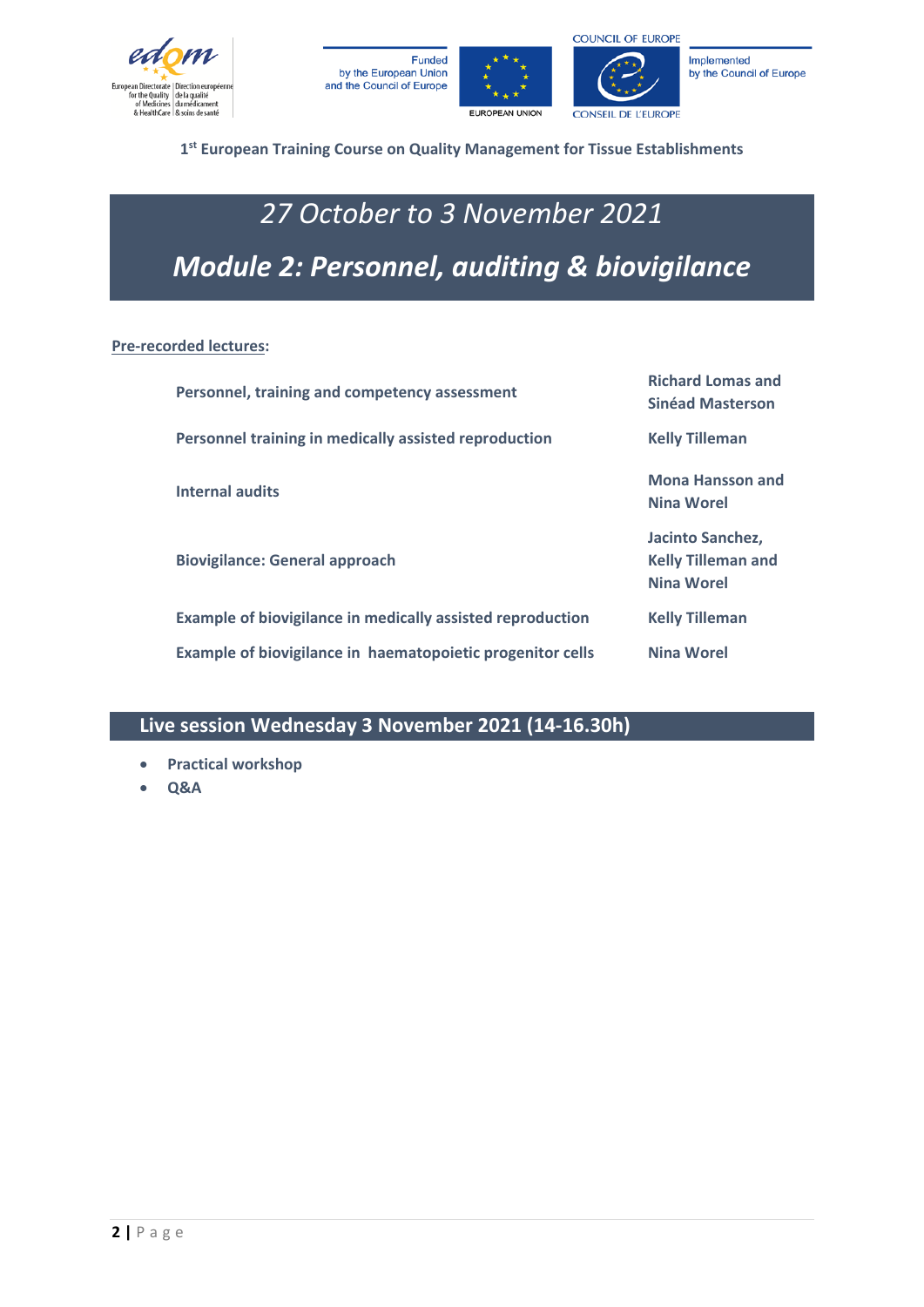







#### **1st European Training Course on Quality Management for Tissue Establishments**

# *27 October to 3 November 2021 Module 2: Personnel, auditing & biovigilance*

#### **Pre-recorded lectures:**

| Personnel, training and competency assessment                     | <b>Richard Lomas and</b><br><b>Sinéad Masterson</b>                |
|-------------------------------------------------------------------|--------------------------------------------------------------------|
| Personnel training in medically assisted reproduction             | <b>Kelly Tilleman</b>                                              |
| <b>Internal audits</b>                                            | <b>Mona Hansson and</b><br>Nina Worel                              |
| <b>Biovigilance: General approach</b>                             | Jacinto Sanchez,<br><b>Kelly Tilleman and</b><br><b>Nina Worel</b> |
| <b>Example of biovigilance in medically assisted reproduction</b> | <b>Kelly Tilleman</b>                                              |
| Example of biovigilance in haematopoietic progenitor cells        | <b>Nina Worel</b>                                                  |

#### **Live session Wednesday 3 November 2021 (14-16.30h)**

- **Practical workshop**
- **Q&A**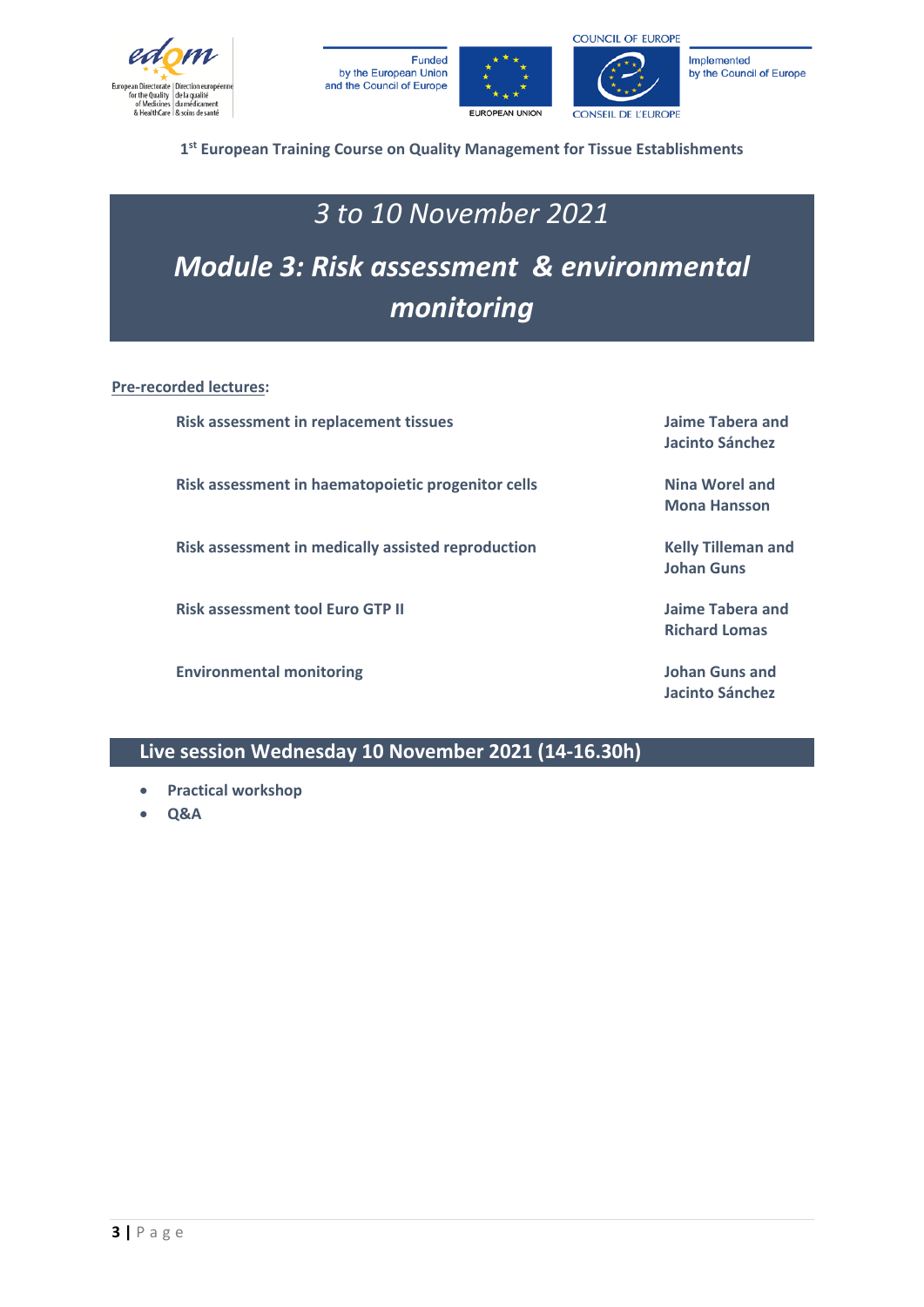







**1st European Training Course on Quality Management for Tissue Establishments**

### *3 to 10 November 2021*

# *Module 3: Risk assessment & environmental monitoring*

**Pre-recorded lectures:**

**Risk assessment in replacement tissues Jaime Tabera and** 

**Risk assessment in haematopoietic progenitor cells Nina Worel and** 

**Risk assessment in medically assisted reproduction Kelly Tilleman and** 

**Risk assessment tool Euro GTP II Jaime Tabera and** 

**Environmental monitoring Johan Guns and** 

**Jacinto Sánchez**

**Mona Hansson**

**Johan Guns**

**Richard Lomas**

**Jacinto Sánchez**

**Live session Wednesday 10 November 2021 (14-16.30h)**

- **Practical workshop**
- **Q&A**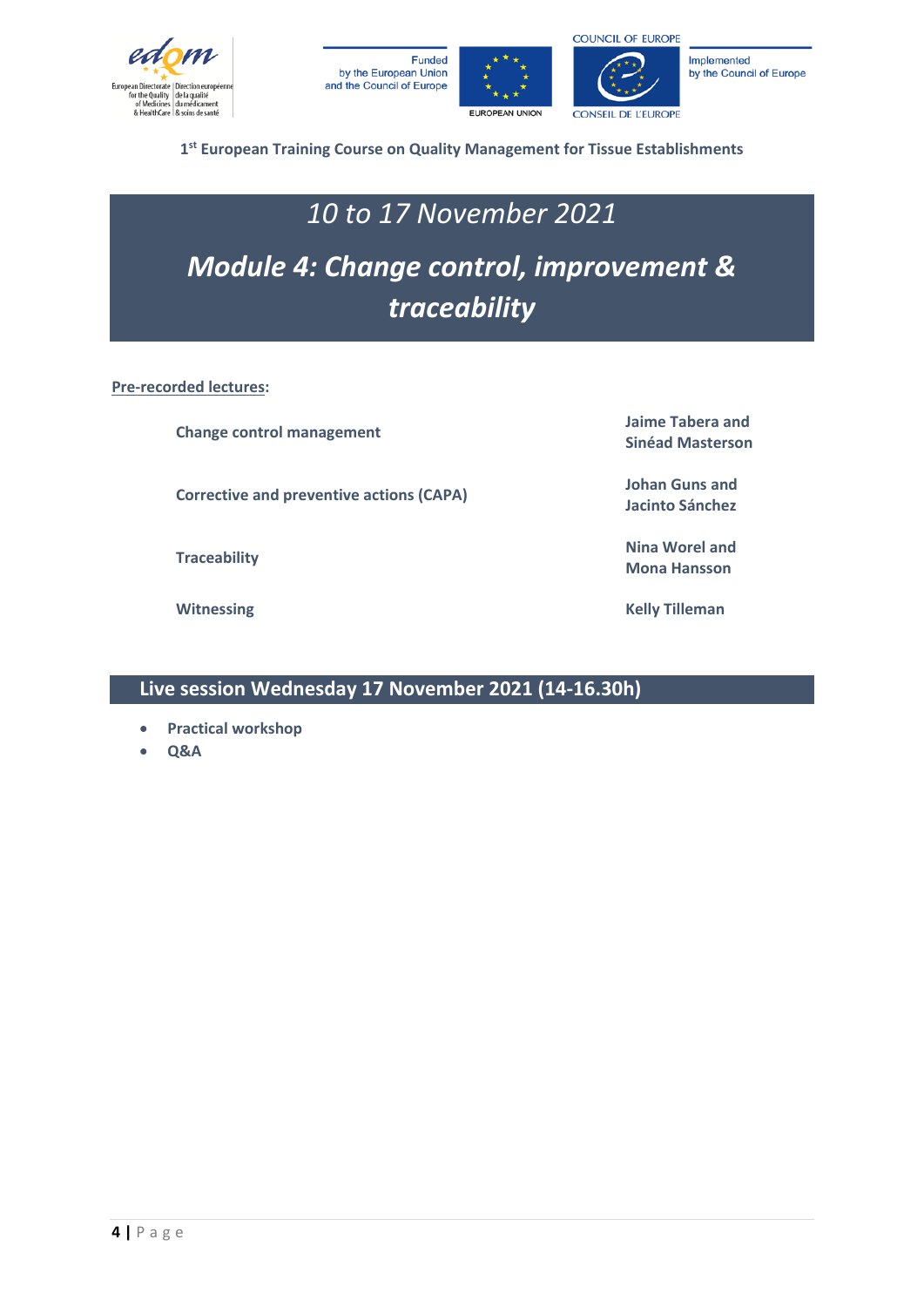







**1st European Training Course on Quality Management for Tissue Establishments**

### *10 to 17 November 2021*

# *Module 4: Change control, improvement & traceability*

**Pre-recorded lectures:**

**Change control management Jaime Tabera and** 

**Corrective and preventive actions (CAPA) Johan Guns** and *Letters* 

**Sinéad Masterson**

**Jacinto Sánchez**

**Traceability Nina Worel and Mona Hansson**

**Witnessing Kelly Tilleman**

#### **Live session Wednesday 17 November 2021 (14-16.30h)**

- **Practical workshop**
- **Q&A**